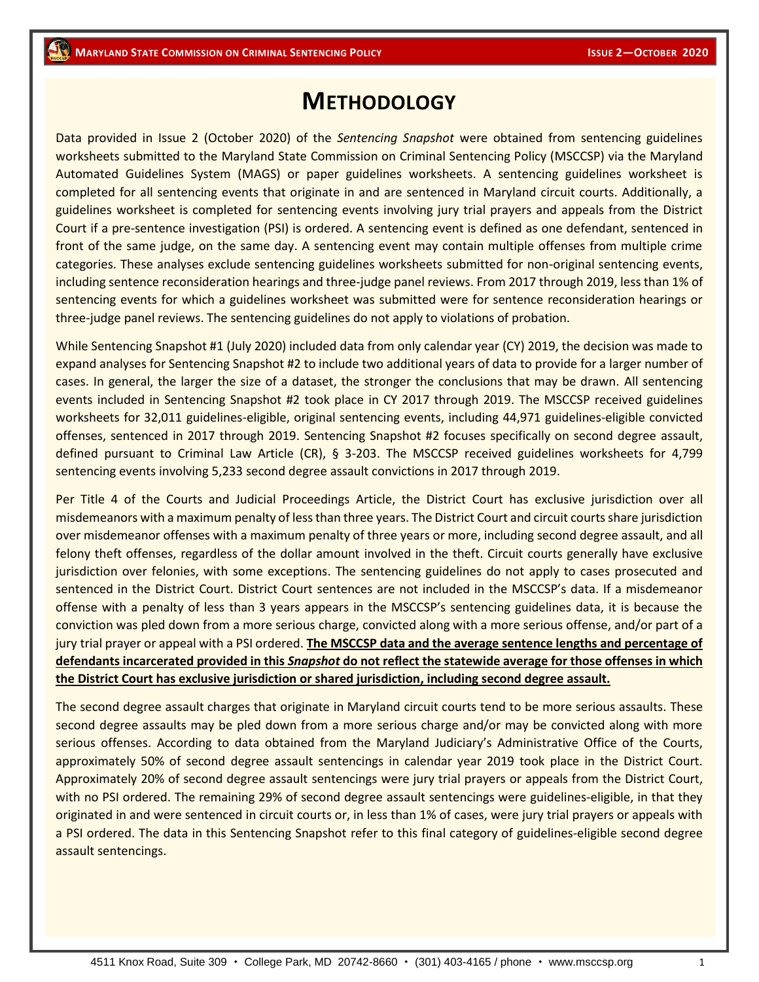## **METHODOLOGY**

Data provided in Issue 2 (October 2020) of the *Sentencing Snapshot* were obtained from sentencing guidelines worksheets submitted to the Maryland State Commission on Criminal Sentencing Policy (MSCCSP) via the Maryland Automated Guidelines System (MAGS) or paper guidelines worksheets. A sentencing guidelines worksheet is completed for all sentencing events that originate in and are sentenced in Maryland circuit courts. Additionally, a guidelines worksheet is completed for sentencing events involving jury trial prayers and appeals from the District Court if a pre-sentence investigation (PSI) is ordered. A sentencing event is defined as one defendant, sentenced in front of the same judge, on the same day. A sentencing event may contain multiple offenses from multiple crime categories. These analyses exclude sentencing guidelines worksheets submitted for non-original sentencing events, including sentence reconsideration hearings and three-judge panel reviews. From 2017 through 2019, less than 1% of sentencing events for which a guidelines worksheet was submitted were for sentence reconsideration hearings or three-judge panel reviews. The sentencing guidelines do not apply to violations of probation.

While Sentencing Snapshot #1 (July 2020) included data from only calendar year (CY) 2019, the decision was made to expand analyses for Sentencing Snapshot #2 to include two additional years of data to provide for a larger number of cases. In general, the larger the size of a dataset, the stronger the conclusions that may be drawn. All sentencing events included in Sentencing Snapshot #2 took place in CY 2017 through 2019. The MSCCSP received guidelines worksheets for 32,011 guidelines-eligible, original sentencing events, including 44,971 guidelines-eligible convicted offenses, sentenced in 2017 through 2019. Sentencing Snapshot #2 focuses specifically on second degree assault, defined pursuant to Criminal Law Article (CR), § 3-203. The MSCCSP received guidelines worksheets for 4,799 sentencing events involving 5,233 second degree assault convictions in 2017 through 2019.

Per Title 4 of the Courts and Judicial Proceedings Article, the District Court has exclusive jurisdiction over all misdemeanors with a maximum penalty of less than three years. The District Court and circuit courts share jurisdiction over misdemeanor offenses with a maximum penalty of three years or more, including second degree assault, and all felony theft offenses, regardless of the dollar amount involved in the theft. Circuit courts generally have exclusive jurisdiction over felonies, with some exceptions. The sentencing guidelines do not apply to cases prosecuted and sentenced in the District Court. District Court sentences are not included in the MSCCSP's data. If a misdemeanor offense with a penalty of less than 3 years appears in the MSCCSP's sentencing guidelines data, it is because the conviction was pled down from a more serious charge, convicted along with a more serious offense, and/or part of a jury trial prayer or appeal with a PSI ordered. **The MSCCSP data and the average sentence lengths and percentage of defendants incarcerated provided in this** *Snapshot* **do not reflect the statewide average for those offenses in which the District Court has exclusive jurisdiction or shared jurisdiction, including second degree assault.** 

The second degree assault charges that originate in Maryland circuit courts tend to be more serious assaults. These second degree assaults may be pled down from a more serious charge and/or may be convicted along with more serious offenses. According to data obtained from the Maryland Judiciary's Administrative Office of the Courts, approximately 50% of second degree assault sentencings in calendar year 2019 took place in the District Court. Approximately 20% of second degree assault sentencings were jury trial prayers or appeals from the District Court, with no PSI ordered. The remaining 29% of second degree assault sentencings were guidelines-eligible, in that they originated in and were sentenced in circuit courts or, in less than 1% of cases, were jury trial prayers or appeals with a PSI ordered. The data in this Sentencing Snapshot refer to this final category of guidelines-eligible second degree assault sentencings.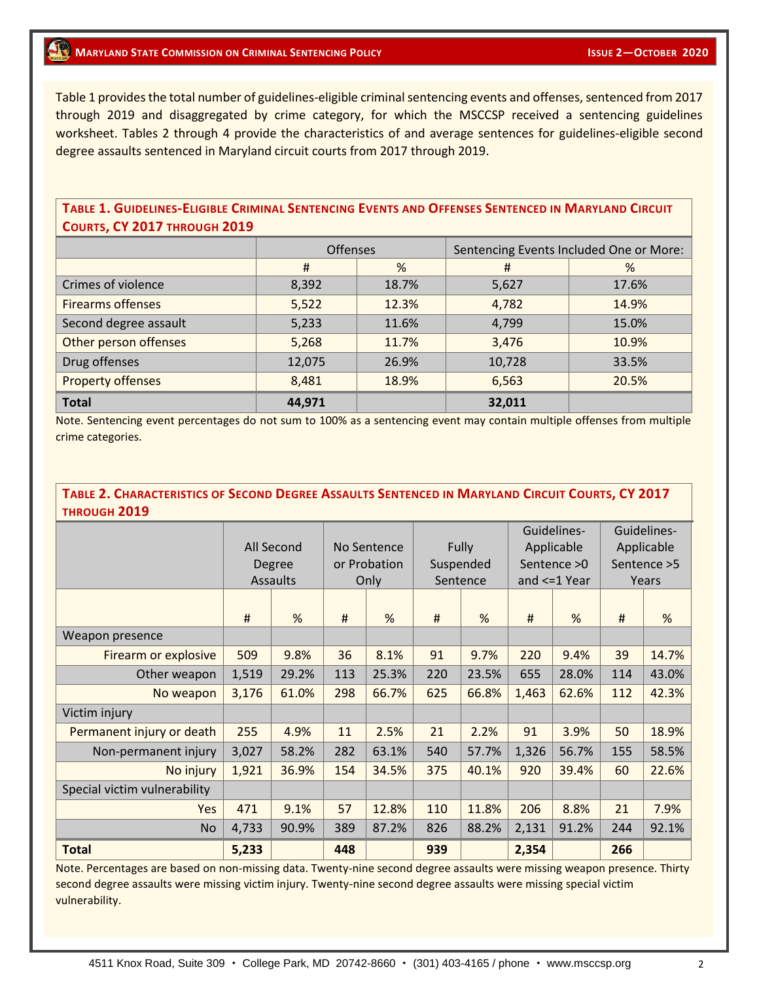## **1 ISSUE 2-OCTOBER 2020**

Table 1 provides the total number of guidelines-eligible criminal sentencing events and offenses, sentenced from 2017 through 2019 and disaggregated by crime category, for which the MSCCSP received a sentencing guidelines worksheet. Tables 2 through 4 provide the characteristics of and average sentences for guidelines-eligible second degree assaults sentenced in Maryland circuit courts from 2017 through 2019.

## TABLE 1. GUIDELINES-ELIGIBLE CRIMINAL SENTENCING EVENTS AND OFFENSES SENTENCED IN MARYLAND CIRCUIT **COURTS, CY 2017 THROUGH 2019**

|                          | <b>Offenses</b> |       | Sentencing Events Included One or More: |       |  |  |
|--------------------------|-----------------|-------|-----------------------------------------|-------|--|--|
|                          | #               | %     | #                                       | %     |  |  |
| Crimes of violence       | 8,392           | 18.7% | 5,627                                   | 17.6% |  |  |
| <b>Firearms offenses</b> | 5,522           | 12.3% | 4,782                                   | 14.9% |  |  |
| Second degree assault    | 5,233           | 11.6% | 4,799                                   | 15.0% |  |  |
| Other person offenses    | 5,268           | 11.7% | 3,476                                   | 10.9% |  |  |
| Drug offenses            | 12,075          | 26.9% | 10,728                                  | 33.5% |  |  |
| <b>Property offenses</b> | 8,481           | 18.9% | 6,563                                   | 20.5% |  |  |
| <b>Total</b>             | 44,971          |       | 32,011                                  |       |  |  |

Note. Sentencing event percentages do not sum to 100% as a sentencing event may contain multiple offenses from multiple crime categories.

## TABLE 2. CHARACTERISTICS OF SECOND DEGREE ASSAULTS SENTENCED IN MARYLAND CIRCUIT COURTS, CY 2017 **THROUGH 2019**

|                              | All Second<br>Degree<br>Assaults |       | No Sentence<br>or Probation<br>Only |       | Fully<br>Suspended<br>Sentence |       | Guidelines-<br>Applicable<br>Sentence $>0$<br>and $\leq$ 1 Year |       | Guidelines-<br>Applicable<br>Sentence > 5<br>Years |       |
|------------------------------|----------------------------------|-------|-------------------------------------|-------|--------------------------------|-------|-----------------------------------------------------------------|-------|----------------------------------------------------|-------|
|                              | #                                | %     | #                                   | %     | #                              | %     | #                                                               | %     | #                                                  | %     |
| Weapon presence              |                                  |       |                                     |       |                                |       |                                                                 |       |                                                    |       |
| Firearm or explosive         | 509                              | 9.8%  | 36                                  | 8.1%  | 91                             | 9.7%  | 220                                                             | 9.4%  | 39                                                 | 14.7% |
| Other weapon                 | 1,519                            | 29.2% | 113                                 | 25.3% | 220                            | 23.5% | 655                                                             | 28.0% | 114                                                | 43.0% |
| No weapon                    | 3,176                            | 61.0% | 298                                 | 66.7% | 625                            | 66.8% | 1,463                                                           | 62.6% | 112                                                | 42.3% |
| Victim injury                |                                  |       |                                     |       |                                |       |                                                                 |       |                                                    |       |
| Permanent injury or death    | 255                              | 4.9%  | 11                                  | 2.5%  | 21                             | 2.2%  | 91                                                              | 3.9%  | 50                                                 | 18.9% |
| Non-permanent injury         | 3,027                            | 58.2% | 282                                 | 63.1% | 540                            | 57.7% | 1,326                                                           | 56.7% | 155                                                | 58.5% |
| No injury                    | 1,921                            | 36.9% | 154                                 | 34.5% | 375                            | 40.1% | 920                                                             | 39.4% | 60                                                 | 22.6% |
| Special victim vulnerability |                                  |       |                                     |       |                                |       |                                                                 |       |                                                    |       |
| <b>Yes</b>                   | 471                              | 9.1%  | 57                                  | 12.8% | 110                            | 11.8% | 206                                                             | 8.8%  | 21                                                 | 7.9%  |
| <b>No</b>                    | 4,733                            | 90.9% | 389                                 | 87.2% | 826                            | 88.2% | 2,131                                                           | 91.2% | 244                                                | 92.1% |
| <b>Total</b>                 | 5,233                            |       | 448                                 |       | 939                            |       | 2,354                                                           |       | 266                                                |       |

Note. Percentages are based on non-missing data. Twenty-nine second degree assaults were missing weapon presence. Thirty second degree assaults were missing victim injury. Twenty-nine second degree assaults were missing special victim vulnerability.